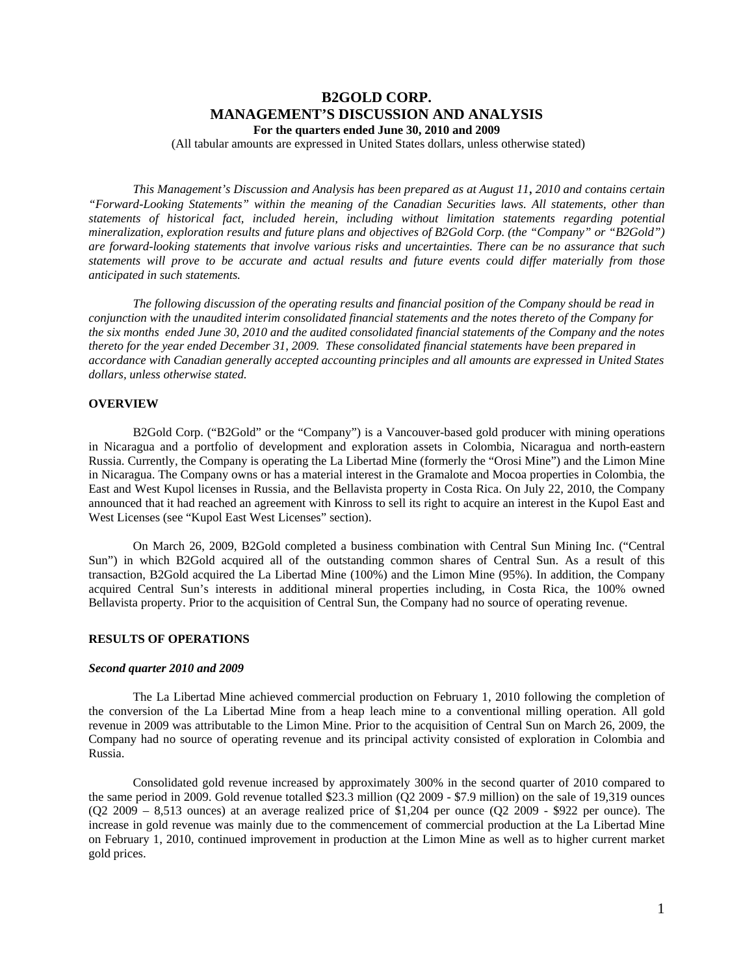# **B2GOLD CORP. MANAGEMENT'S DISCUSSION AND ANALYSIS For the quarters ended June 30, 2010 and 2009**

(All tabular amounts are expressed in United States dollars, unless otherwise stated)

*This Management's Discussion and Analysis has been prepared as at August 11*, *2010 and contains certain "Forward-Looking Statements" within the meaning of the Canadian Securities laws. All statements, other than statements of historical fact, included herein, including without limitation statements regarding potential mineralization, exploration results and future plans and objectives of B2Gold Corp. (the "Company" or "B2Gold") are forward-looking statements that involve various risks and uncertainties. There can be no assurance that such statements will prove to be accurate and actual results and future events could differ materially from those anticipated in such statements.* 

*The following discussion of the operating results and financial position of the Company should be read in conjunction with the unaudited interim consolidated financial statements and the notes thereto of the Company for the six months ended June 30, 2010 and the audited consolidated financial statements of the Company and the notes thereto for the year ended December 31, 2009. These consolidated financial statements have been prepared in accordance with Canadian generally accepted accounting principles and all amounts are expressed in United States dollars, unless otherwise stated.* 

#### **OVERVIEW**

B2Gold Corp. ("B2Gold" or the "Company") is a Vancouver-based gold producer with mining operations in Nicaragua and a portfolio of development and exploration assets in Colombia, Nicaragua and north-eastern Russia. Currently, the Company is operating the La Libertad Mine (formerly the "Orosi Mine") and the Limon Mine in Nicaragua. The Company owns or has a material interest in the Gramalote and Mocoa properties in Colombia, the East and West Kupol licenses in Russia, and the Bellavista property in Costa Rica. On July 22, 2010, the Company announced that it had reached an agreement with Kinross to sell its right to acquire an interest in the Kupol East and West Licenses (see "Kupol East West Licenses" section).

On March 26, 2009, B2Gold completed a business combination with Central Sun Mining Inc. ("Central Sun") in which B2Gold acquired all of the outstanding common shares of Central Sun. As a result of this transaction, B2Gold acquired the La Libertad Mine (100%) and the Limon Mine (95%). In addition, the Company acquired Central Sun's interests in additional mineral properties including, in Costa Rica, the 100% owned Bellavista property. Prior to the acquisition of Central Sun, the Company had no source of operating revenue.

## **RESULTS OF OPERATIONS**

# *Second quarter 2010 and 2009*

The La Libertad Mine achieved commercial production on February 1, 2010 following the completion of the conversion of the La Libertad Mine from a heap leach mine to a conventional milling operation. All gold revenue in 2009 was attributable to the Limon Mine. Prior to the acquisition of Central Sun on March 26, 2009, the Company had no source of operating revenue and its principal activity consisted of exploration in Colombia and Russia.

Consolidated gold revenue increased by approximately 300% in the second quarter of 2010 compared to the same period in 2009. Gold revenue totalled \$23.3 million (Q2 2009 - \$7.9 million) on the sale of 19,319 ounces  $(Q2 2009 - 8,513$  ounces) at an average realized price of \$1,204 per ounce  $(Q2 2009 - $922$  per ounce). The increase in gold revenue was mainly due to the commencement of commercial production at the La Libertad Mine on February 1, 2010, continued improvement in production at the Limon Mine as well as to higher current market gold prices.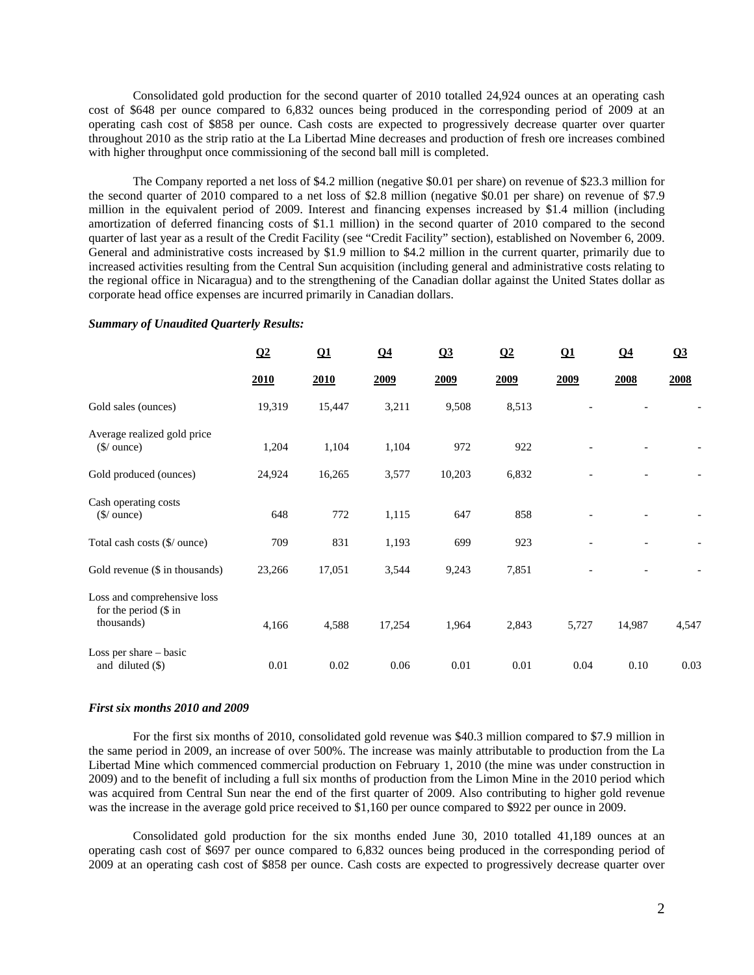Consolidated gold production for the second quarter of 2010 totalled 24,924 ounces at an operating cash cost of \$648 per ounce compared to 6,832 ounces being produced in the corresponding period of 2009 at an operating cash cost of \$858 per ounce. Cash costs are expected to progressively decrease quarter over quarter throughout 2010 as the strip ratio at the La Libertad Mine decreases and production of fresh ore increases combined with higher throughput once commissioning of the second ball mill is completed.

The Company reported a net loss of \$4.2 million (negative \$0.01 per share) on revenue of \$23.3 million for the second quarter of 2010 compared to a net loss of \$2.8 million (negative \$0.01 per share) on revenue of \$7.9 million in the equivalent period of 2009. Interest and financing expenses increased by \$1.4 million (including amortization of deferred financing costs of \$1.1 million) in the second quarter of 2010 compared to the second quarter of last year as a result of the Credit Facility (see "Credit Facility" section), established on November 6, 2009. General and administrative costs increased by \$1.9 million to \$4.2 million in the current quarter, primarily due to increased activities resulting from the Central Sun acquisition (including general and administrative costs relating to the regional office in Nicaragua) and to the strengthening of the Canadian dollar against the United States dollar as corporate head office expenses are incurred primarily in Canadian dollars.

|                                                                        | $\Omega$ | Q1     | Q <sub>4</sub> | Q3     | $\Omega$ | $\Omega$ 1 | Q <sub>4</sub> | Q3    |
|------------------------------------------------------------------------|----------|--------|----------------|--------|----------|------------|----------------|-------|
|                                                                        | 2010     | 2010   | 2009           | 2009   | 2009     | 2009       | 2008           | 2008  |
| Gold sales (ounces)                                                    | 19,319   | 15,447 | 3,211          | 9,508  | 8,513    |            |                |       |
| Average realized gold price<br>$$/$ ounce)                             | 1,204    | 1,104  | 1,104          | 972    | 922      |            |                |       |
| Gold produced (ounces)                                                 | 24,924   | 16,265 | 3,577          | 10,203 | 6,832    |            |                |       |
| Cash operating costs<br>$(\frac{\mathcal{S}}{\omega})$ ounce)          | 648      | 772    | 1,115          | 647    | 858      |            |                |       |
| Total cash costs (\$/ ounce)                                           | 709      | 831    | 1,193          | 699    | 923      |            |                |       |
| Gold revenue (\$ in thousands)                                         | 23,266   | 17,051 | 3,544          | 9,243  | 7,851    |            |                |       |
| Loss and comprehensive loss<br>for the period $(\$\)$ in<br>thousands) | 4,166    | 4,588  | 17,254         | 1,964  | 2,843    | 5,727      | 14,987         | 4,547 |
| Loss per share $-$ basic<br>and diluted (\$)                           | 0.01     | 0.02   | 0.06           | 0.01   | 0.01     | 0.04       | 0.10           | 0.03  |

## *Summary of Unaudited Quarterly Results:*

#### *First six months 2010 and 2009*

For the first six months of 2010, consolidated gold revenue was \$40.3 million compared to \$7.9 million in the same period in 2009, an increase of over 500%. The increase was mainly attributable to production from the La Libertad Mine which commenced commercial production on February 1, 2010 (the mine was under construction in 2009) and to the benefit of including a full six months of production from the Limon Mine in the 2010 period which was acquired from Central Sun near the end of the first quarter of 2009. Also contributing to higher gold revenue was the increase in the average gold price received to \$1,160 per ounce compared to \$922 per ounce in 2009.

Consolidated gold production for the six months ended June 30, 2010 totalled 41,189 ounces at an operating cash cost of \$697 per ounce compared to 6,832 ounces being produced in the corresponding period of 2009 at an operating cash cost of \$858 per ounce. Cash costs are expected to progressively decrease quarter over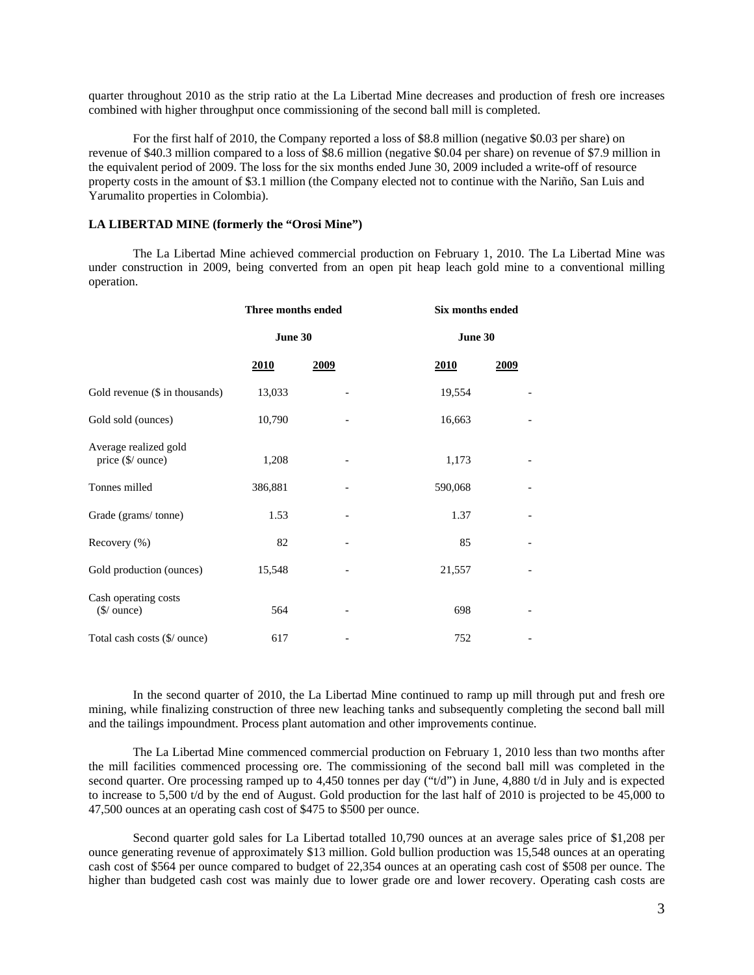quarter throughout 2010 as the strip ratio at the La Libertad Mine decreases and production of fresh ore increases combined with higher throughput once commissioning of the second ball mill is completed.

For the first half of 2010, the Company reported a loss of \$8.8 million (negative \$0.03 per share) on revenue of \$40.3 million compared to a loss of \$8.6 million (negative \$0.04 per share) on revenue of \$7.9 million in the equivalent period of 2009. The loss for the six months ended June 30, 2009 included a write-off of resource property costs in the amount of \$3.1 million (the Company elected not to continue with the Nariño, San Luis and Yarumalito properties in Colombia).

# **LA LIBERTAD MINE (formerly the "Orosi Mine")**

The La Libertad Mine achieved commercial production on February 1, 2010. The La Libertad Mine was under construction in 2009, being converted from an open pit heap leach gold mine to a conventional milling operation.

|                                            | Three months ended |      | Six months ended |      |  |
|--------------------------------------------|--------------------|------|------------------|------|--|
|                                            | June 30            |      | June 30          |      |  |
|                                            | <u>2010</u>        | 2009 | <u>2010</u>      | 2009 |  |
| Gold revenue (\$ in thousands)             | 13,033             |      | 19,554           |      |  |
| Gold sold (ounces)                         | 10,790             |      | 16,663           |      |  |
| Average realized gold<br>price (\$/ ounce) | 1,208              |      | 1,173            |      |  |
| Tonnes milled                              | 386,881            |      | 590,068          |      |  |
| Grade (grams/tonne)                        | 1.53               |      | 1.37             |      |  |
| Recovery (%)                               | 82                 |      | 85               |      |  |
| Gold production (ounces)                   | 15,548             |      | 21,557           |      |  |
| Cash operating costs<br>$(\$/$ ounce)      | 564                |      | 698              |      |  |
| Total cash costs (\$/ ounce)               | 617                |      | 752              |      |  |

In the second quarter of 2010, the La Libertad Mine continued to ramp up mill through put and fresh ore mining, while finalizing construction of three new leaching tanks and subsequently completing the second ball mill and the tailings impoundment. Process plant automation and other improvements continue.

The La Libertad Mine commenced commercial production on February 1, 2010 less than two months after the mill facilities commenced processing ore. The commissioning of the second ball mill was completed in the second quarter. Ore processing ramped up to 4,450 tonnes per day (" $t/d$ ") in June, 4,880 t/d in July and is expected to increase to 5,500 t/d by the end of August. Gold production for the last half of 2010 is projected to be 45,000 to 47,500 ounces at an operating cash cost of \$475 to \$500 per ounce.

Second quarter gold sales for La Libertad totalled 10,790 ounces at an average sales price of \$1,208 per ounce generating revenue of approximately \$13 million. Gold bullion production was 15,548 ounces at an operating cash cost of \$564 per ounce compared to budget of 22,354 ounces at an operating cash cost of \$508 per ounce. The higher than budgeted cash cost was mainly due to lower grade ore and lower recovery. Operating cash costs are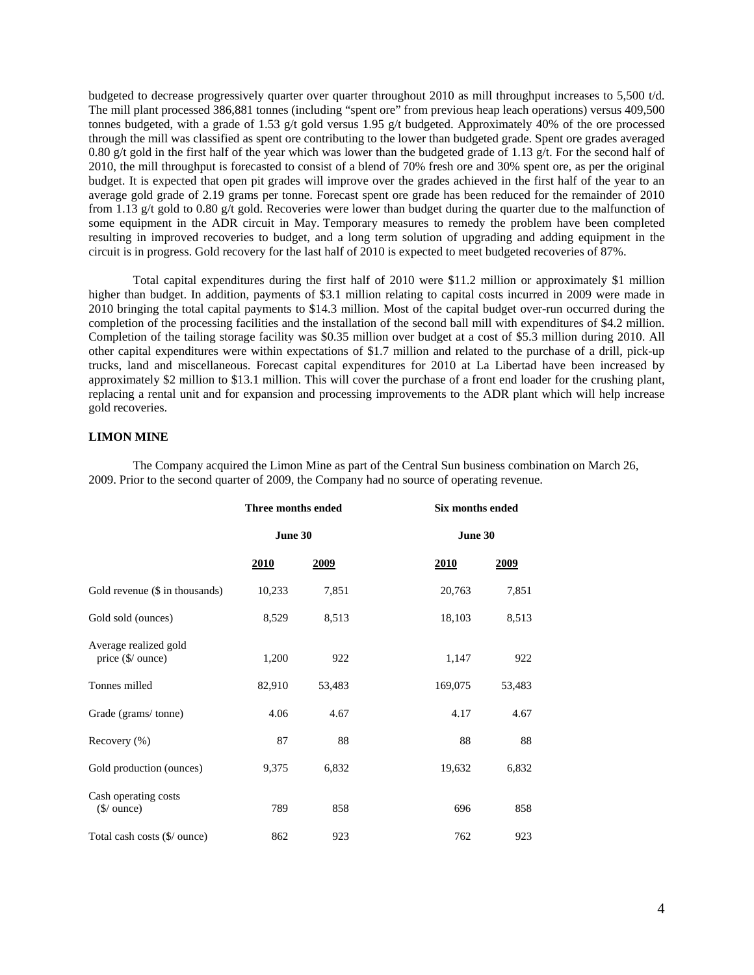budgeted to decrease progressively quarter over quarter throughout 2010 as mill throughput increases to 5,500 t/d. The mill plant processed 386,881 tonnes (including "spent ore" from previous heap leach operations) versus 409,500 tonnes budgeted, with a grade of 1.53 g/t gold versus 1.95 g/t budgeted. Approximately 40% of the ore processed through the mill was classified as spent ore contributing to the lower than budgeted grade. Spent ore grades averaged 0.80 g/t gold in the first half of the year which was lower than the budgeted grade of 1.13 g/t. For the second half of 2010, the mill throughput is forecasted to consist of a blend of 70% fresh ore and 30% spent ore, as per the original budget. It is expected that open pit grades will improve over the grades achieved in the first half of the year to an average gold grade of 2.19 grams per tonne. Forecast spent ore grade has been reduced for the remainder of 2010 from 1.13 g/t gold to 0.80 g/t gold. Recoveries were lower than budget during the quarter due to the malfunction of some equipment in the ADR circuit in May. Temporary measures to remedy the problem have been completed resulting in improved recoveries to budget, and a long term solution of upgrading and adding equipment in the circuit is in progress. Gold recovery for the last half of 2010 is expected to meet budgeted recoveries of 87%.

Total capital expenditures during the first half of 2010 were \$11.2 million or approximately \$1 million higher than budget. In addition, payments of \$3.1 million relating to capital costs incurred in 2009 were made in 2010 bringing the total capital payments to \$14.3 million. Most of the capital budget over-run occurred during the completion of the processing facilities and the installation of the second ball mill with expenditures of \$4.2 million. Completion of the tailing storage facility was \$0.35 million over budget at a cost of \$5.3 million during 2010. All other capital expenditures were within expectations of \$1.7 million and related to the purchase of a drill, pick-up trucks, land and miscellaneous. Forecast capital expenditures for 2010 at La Libertad have been increased by approximately \$2 million to \$13.1 million. This will cover the purchase of a front end loader for the crushing plant, replacing a rental unit and for expansion and processing improvements to the ADR plant which will help increase gold recoveries.

# **LIMON MINE**

The Company acquired the Limon Mine as part of the Central Sun business combination on March 26, 2009. Prior to the second quarter of 2009, the Company had no source of operating revenue.

|                                                       | Three months ended |        |             | <b>Six months ended</b> |
|-------------------------------------------------------|--------------------|--------|-------------|-------------------------|
|                                                       | June 30            |        | June 30     |                         |
|                                                       | <u>2010</u>        | 2009   | <u>2010</u> | <u>2009</u>             |
| Gold revenue $(\$$ in thousands)                      | 10,233             | 7,851  | 20,763      | 7,851                   |
| Gold sold (ounces)                                    | 8,529              | 8,513  | 18,103      | 8,513                   |
| Average realized gold<br>price (\$/ ounce)            | 1,200              | 922    | 1,147       | 922                     |
| Tonnes milled                                         | 82,910             | 53,483 | 169,075     | 53,483                  |
| Grade (grams/tonne)                                   | 4.06               | 4.67   | 4.17        | 4.67                    |
| Recovery (%)                                          | 87                 | 88     | 88          | 88                      |
| Gold production (ounces)                              | 9,375              | 6,832  | 19,632      | 6,832                   |
| Cash operating costs<br>$(\frac{\xi}{\omega})$ ounce) | 789                | 858    | 696         | 858                     |
| Total cash costs (\$/ ounce)                          | 862                | 923    | 762         | 923                     |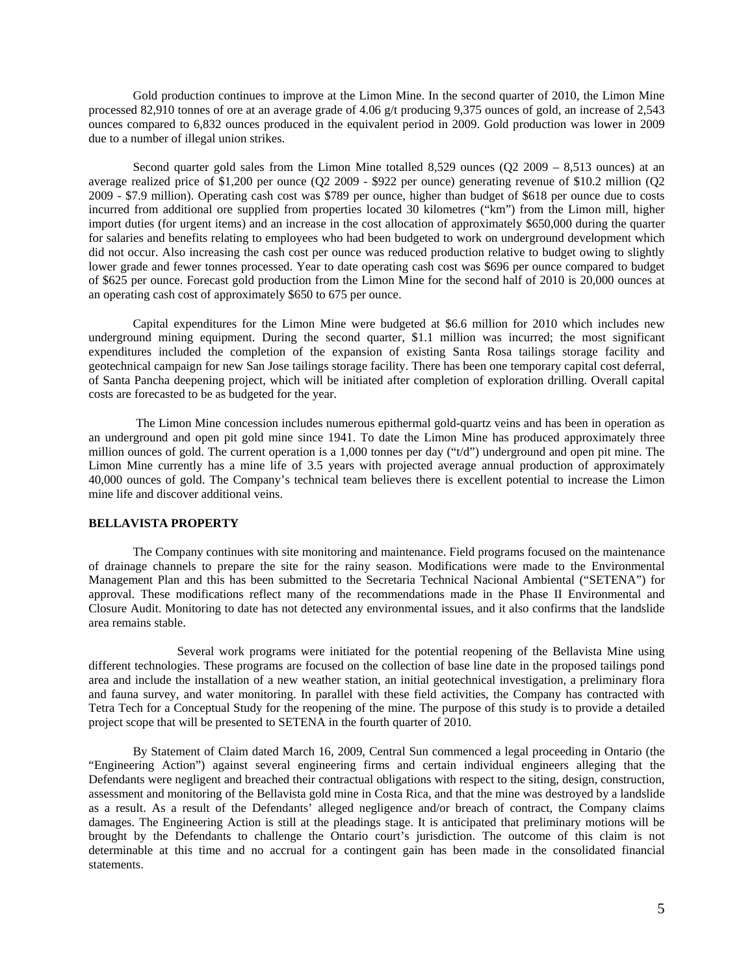Gold production continues to improve at the Limon Mine. In the second quarter of 2010, the Limon Mine processed 82,910 tonnes of ore at an average grade of 4.06 g/t producing 9,375 ounces of gold, an increase of 2,543 ounces compared to 6,832 ounces produced in the equivalent period in 2009. Gold production was lower in 2009 due to a number of illegal union strikes.

Second quarter gold sales from the Limon Mine totalled 8,529 ounces  $(Q2 2009 - 8,513$  ounces) at an average realized price of \$1,200 per ounce (Q2 2009 - \$922 per ounce) generating revenue of \$10.2 million (Q2 2009 - \$7.9 million). Operating cash cost was \$789 per ounce, higher than budget of \$618 per ounce due to costs incurred from additional ore supplied from properties located 30 kilometres ("km") from the Limon mill, higher import duties (for urgent items) and an increase in the cost allocation of approximately \$650,000 during the quarter for salaries and benefits relating to employees who had been budgeted to work on underground development which did not occur. Also increasing the cash cost per ounce was reduced production relative to budget owing to slightly lower grade and fewer tonnes processed. Year to date operating cash cost was \$696 per ounce compared to budget of \$625 per ounce. Forecast gold production from the Limon Mine for the second half of 2010 is 20,000 ounces at an operating cash cost of approximately \$650 to 675 per ounce.

Capital expenditures for the Limon Mine were budgeted at \$6.6 million for 2010 which includes new underground mining equipment. During the second quarter, \$1.1 million was incurred; the most significant expenditures included the completion of the expansion of existing Santa Rosa tailings storage facility and geotechnical campaign for new San Jose tailings storage facility. There has been one temporary capital cost deferral, of Santa Pancha deepening project, which will be initiated after completion of exploration drilling. Overall capital costs are forecasted to be as budgeted for the year.

 The Limon Mine concession includes numerous epithermal gold-quartz veins and has been in operation as an underground and open pit gold mine since 1941. To date the Limon Mine has produced approximately three million ounces of gold. The current operation is a 1,000 tonnes per day ("t/d") underground and open pit mine. The Limon Mine currently has a mine life of 3.5 years with projected average annual production of approximately 40,000 ounces of gold. The Company's technical team believes there is excellent potential to increase the Limon mine life and discover additional veins.

#### **BELLAVISTA PROPERTY**

The Company continues with site monitoring and maintenance. Field programs focused on the maintenance of drainage channels to prepare the site for the rainy season. Modifications were made to the Environmental Management Plan and this has been submitted to the Secretaria Technical Nacional Ambiental ("SETENA") for approval. These modifications reflect many of the recommendations made in the Phase II Environmental and Closure Audit. Monitoring to date has not detected any environmental issues, and it also confirms that the landslide area remains stable.

Several work programs were initiated for the potential reopening of the Bellavista Mine using different technologies. These programs are focused on the collection of base line date in the proposed tailings pond area and include the installation of a new weather station, an initial geotechnical investigation, a preliminary flora and fauna survey, and water monitoring. In parallel with these field activities, the Company has contracted with Tetra Tech for a Conceptual Study for the reopening of the mine. The purpose of this study is to provide a detailed project scope that will be presented to SETENA in the fourth quarter of 2010.

By Statement of Claim dated March 16, 2009, Central Sun commenced a legal proceeding in Ontario (the "Engineering Action") against several engineering firms and certain individual engineers alleging that the Defendants were negligent and breached their contractual obligations with respect to the siting, design, construction, assessment and monitoring of the Bellavista gold mine in Costa Rica, and that the mine was destroyed by a landslide as a result. As a result of the Defendants' alleged negligence and/or breach of contract, the Company claims damages. The Engineering Action is still at the pleadings stage. It is anticipated that preliminary motions will be brought by the Defendants to challenge the Ontario court's jurisdiction. The outcome of this claim is not determinable at this time and no accrual for a contingent gain has been made in the consolidated financial statements.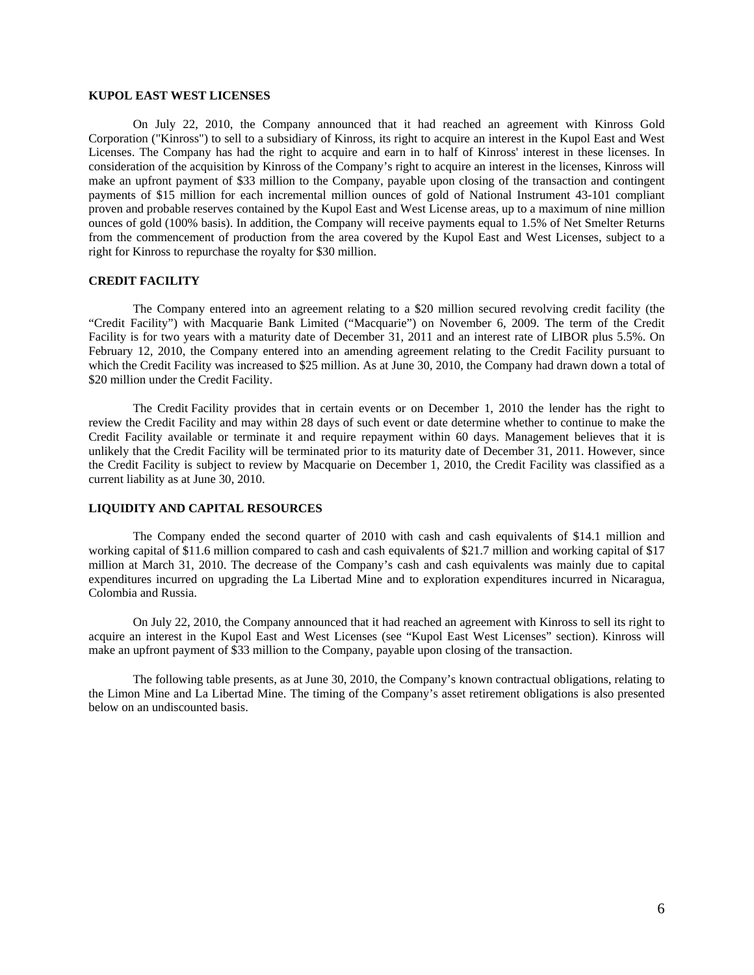## **KUPOL EAST WEST LICENSES**

On July 22, 2010, the Company announced that it had reached an agreement with Kinross Gold Corporation ("Kinross") to sell to a subsidiary of Kinross, its right to acquire an interest in the Kupol East and West Licenses. The Company has had the right to acquire and earn in to half of Kinross' interest in these licenses. In consideration of the acquisition by Kinross of the Company's right to acquire an interest in the licenses, Kinross will make an upfront payment of \$33 million to the Company, payable upon closing of the transaction and contingent payments of \$15 million for each incremental million ounces of gold of National Instrument 43-101 compliant proven and probable reserves contained by the Kupol East and West License areas, up to a maximum of nine million ounces of gold (100% basis). In addition, the Company will receive payments equal to 1.5% of Net Smelter Returns from the commencement of production from the area covered by the Kupol East and West Licenses, subject to a right for Kinross to repurchase the royalty for \$30 million.

# **CREDIT FACILITY**

The Company entered into an agreement relating to a \$20 million secured revolving credit facility (the "Credit Facility") with Macquarie Bank Limited ("Macquarie") on November 6, 2009. The term of the Credit Facility is for two years with a maturity date of December 31, 2011 and an interest rate of LIBOR plus 5.5%. On February 12, 2010, the Company entered into an amending agreement relating to the Credit Facility pursuant to which the Credit Facility was increased to \$25 million. As at June 30, 2010, the Company had drawn down a total of \$20 million under the Credit Facility.

The Credit Facility provides that in certain events or on December 1, 2010 the lender has the right to review the Credit Facility and may within 28 days of such event or date determine whether to continue to make the Credit Facility available or terminate it and require repayment within 60 days. Management believes that it is unlikely that the Credit Facility will be terminated prior to its maturity date of December 31, 2011. However, since the Credit Facility is subject to review by Macquarie on December 1, 2010, the Credit Facility was classified as a current liability as at June 30, 2010.

# **LIQUIDITY AND CAPITAL RESOURCES**

The Company ended the second quarter of 2010 with cash and cash equivalents of \$14.1 million and working capital of \$11.6 million compared to cash and cash equivalents of \$21.7 million and working capital of \$17 million at March 31, 2010. The decrease of the Company's cash and cash equivalents was mainly due to capital expenditures incurred on upgrading the La Libertad Mine and to exploration expenditures incurred in Nicaragua, Colombia and Russia.

On July 22, 2010, the Company announced that it had reached an agreement with Kinross to sell its right to acquire an interest in the Kupol East and West Licenses (see "Kupol East West Licenses" section). Kinross will make an upfront payment of \$33 million to the Company, payable upon closing of the transaction.

The following table presents, as at June 30, 2010, the Company's known contractual obligations, relating to the Limon Mine and La Libertad Mine. The timing of the Company's asset retirement obligations is also presented below on an undiscounted basis.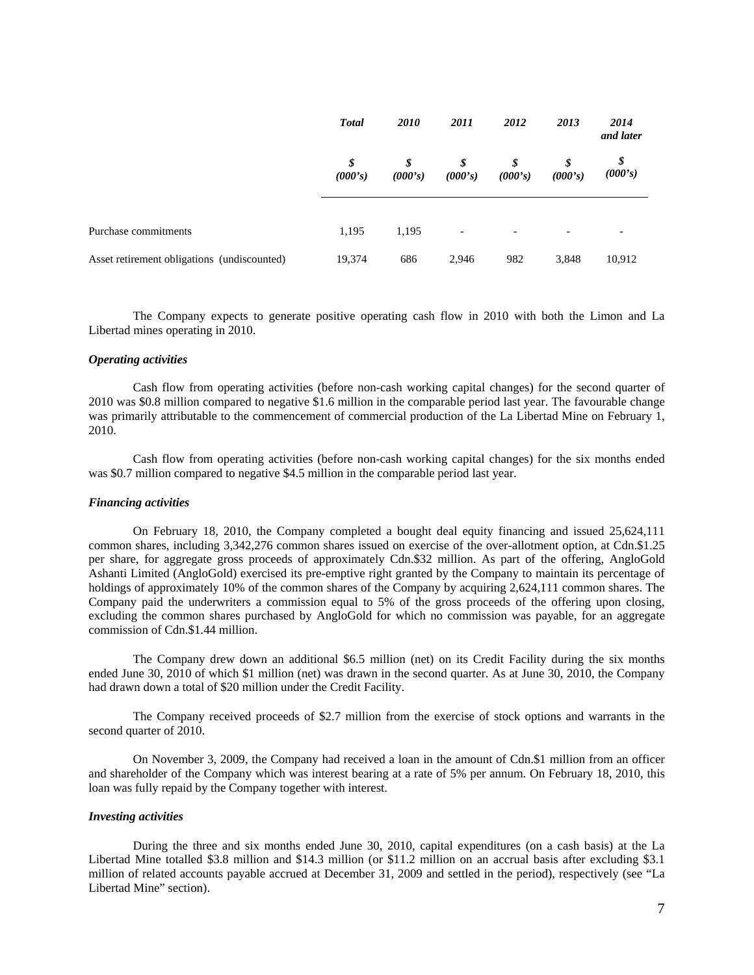|                                             | <b>Total</b>  | <i>2010</i>   | 2011                     | 2012                     | 2013          | 2014<br>and later |
|---------------------------------------------|---------------|---------------|--------------------------|--------------------------|---------------|-------------------|
|                                             | \$<br>(000's) | \$<br>(000's) | \$<br>(000's)            | \$<br>(000's)            | \$<br>(000's) | \$<br>(000's)     |
| Purchase commitments                        | 1,195         | 1,195         | $\overline{\phantom{a}}$ | $\overline{\phantom{0}}$ | -             |                   |
| Asset retirement obligations (undiscounted) | 19,374        | 686           | 2,946                    | 982                      | 3,848         | 10,912            |

The Company expects to generate positive operating cash flow in 2010 with both the Limon and La Libertad mines operating in 2010.

### *Operating activities*

Cash flow from operating activities (before non-cash working capital changes) for the second quarter of 2010 was \$0.8 million compared to negative \$1.6 million in the comparable period last year. The favourable change was primarily attributable to the commencement of commercial production of the La Libertad Mine on February 1, 2010.

Cash flow from operating activities (before non-cash working capital changes) for the six months ended was \$0.7 million compared to negative \$4.5 million in the comparable period last year.

## *Financing activities*

On February 18, 2010, the Company completed a bought deal equity financing and issued 25,624,111 common shares, including 3,342,276 common shares issued on exercise of the over-allotment option, at Cdn.\$1.25 per share, for aggregate gross proceeds of approximately Cdn.\$32 million. As part of the offering, AngloGold Ashanti Limited (AngloGold) exercised its pre-emptive right granted by the Company to maintain its percentage of holdings of approximately 10% of the common shares of the Company by acquiring 2,624,111 common shares. The Company paid the underwriters a commission equal to 5% of the gross proceeds of the offering upon closing, excluding the common shares purchased by AngloGold for which no commission was payable, for an aggregate commission of Cdn.\$1.44 million.

The Company drew down an additional \$6.5 million (net) on its Credit Facility during the six months ended June 30, 2010 of which \$1 million (net) was drawn in the second quarter. As at June 30, 2010, the Company had drawn down a total of \$20 million under the Credit Facility.

The Company received proceeds of \$2.7 million from the exercise of stock options and warrants in the second quarter of 2010.

On November 3, 2009, the Company had received a loan in the amount of Cdn.\$1 million from an officer and shareholder of the Company which was interest bearing at a rate of 5% per annum. On February 18, 2010, this loan was fully repaid by the Company together with interest.

#### *Investing activities*

During the three and six months ended June 30, 2010, capital expenditures (on a cash basis) at the La Libertad Mine totalled \$3.8 million and \$14.3 million (or \$11.2 million on an accrual basis after excluding \$3.1 million of related accounts payable accrued at December 31, 2009 and settled in the period), respectively (see "La Libertad Mine" section).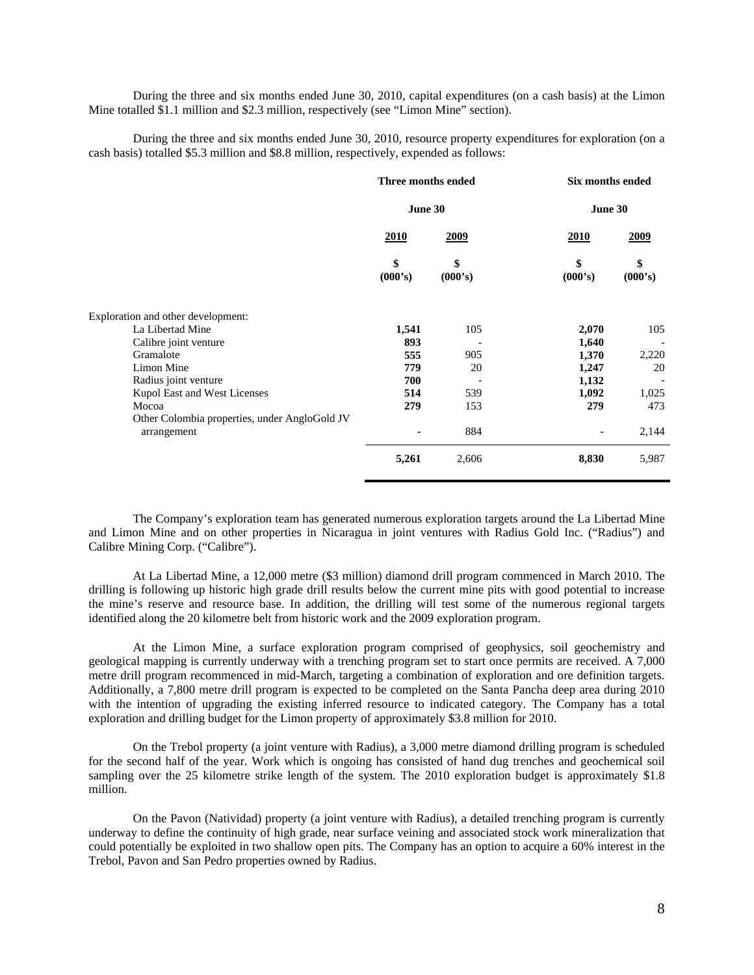During the three and six months ended June 30, 2010, capital expenditures (on a cash basis) at the Limon Mine totalled \$1.1 million and \$2.3 million, respectively (see "Limon Mine" section).

During the three and six months ended June 30, 2010, resource property expenditures for exploration (on a cash basis) totalled \$5.3 million and \$8.8 million, respectively, expended as follows:

|                                               | Three months ended<br>June 30 |               | <b>Six months ended</b> |               |
|-----------------------------------------------|-------------------------------|---------------|-------------------------|---------------|
|                                               |                               |               | June 30                 |               |
|                                               | 2010                          | 2009          | <u>2010</u>             | <u>2009</u>   |
|                                               | \$<br>(000's)                 | \$<br>(000's) | \$<br>(000's)           | \$<br>(000's) |
| Exploration and other development:            |                               |               |                         |               |
| La Libertad Mine                              | 1,541                         | 105           | 2,070                   | 105           |
| Calibre joint venture                         | 893                           |               | 1,640                   |               |
| Gramalote                                     | 555                           | 905           | 1,370                   | 2,220         |
| Limon Mine                                    | 779                           | 20            | 1,247                   | 20            |
| Radius joint venture                          | 700                           |               | 1,132                   |               |
| Kupol East and West Licenses                  | 514                           | 539           | 1,092                   | 1,025         |
| Mocoa                                         | 279                           | 153           | 279                     | 473           |
| Other Colombia properties, under AngloGold JV |                               |               |                         |               |
| arrangement                                   |                               | 884           |                         | 2,144         |
|                                               | 5,261                         | 2,606         | 8,830                   | 5,987         |

The Company's exploration team has generated numerous exploration targets around the La Libertad Mine and Limon Mine and on other properties in Nicaragua in joint ventures with Radius Gold Inc. ("Radius") and Calibre Mining Corp. ("Calibre").

At La Libertad Mine, a 12,000 metre (\$3 million) diamond drill program commenced in March 2010. The drilling is following up historic high grade drill results below the current mine pits with good potential to increase the mine's reserve and resource base. In addition, the drilling will test some of the numerous regional targets identified along the 20 kilometre belt from historic work and the 2009 exploration program.

At the Limon Mine, a surface exploration program comprised of geophysics, soil geochemistry and geological mapping is currently underway with a trenching program set to start once permits are received. A 7,000 metre drill program recommenced in mid-March, targeting a combination of exploration and ore definition targets. Additionally, a 7,800 metre drill program is expected to be completed on the Santa Pancha deep area during 2010 with the intention of upgrading the existing inferred resource to indicated category. The Company has a total exploration and drilling budget for the Limon property of approximately \$3.8 million for 2010.

On the Trebol property (a joint venture with Radius), a 3,000 metre diamond drilling program is scheduled for the second half of the year. Work which is ongoing has consisted of hand dug trenches and geochemical soil sampling over the 25 kilometre strike length of the system. The 2010 exploration budget is approximately \$1.8 million.

On the Pavon (Natividad) property (a joint venture with Radius), a detailed trenching program is currently underway to define the continuity of high grade, near surface veining and associated stock work mineralization that could potentially be exploited in two shallow open pits. The Company has an option to acquire a 60% interest in the Trebol, Pavon and San Pedro properties owned by Radius.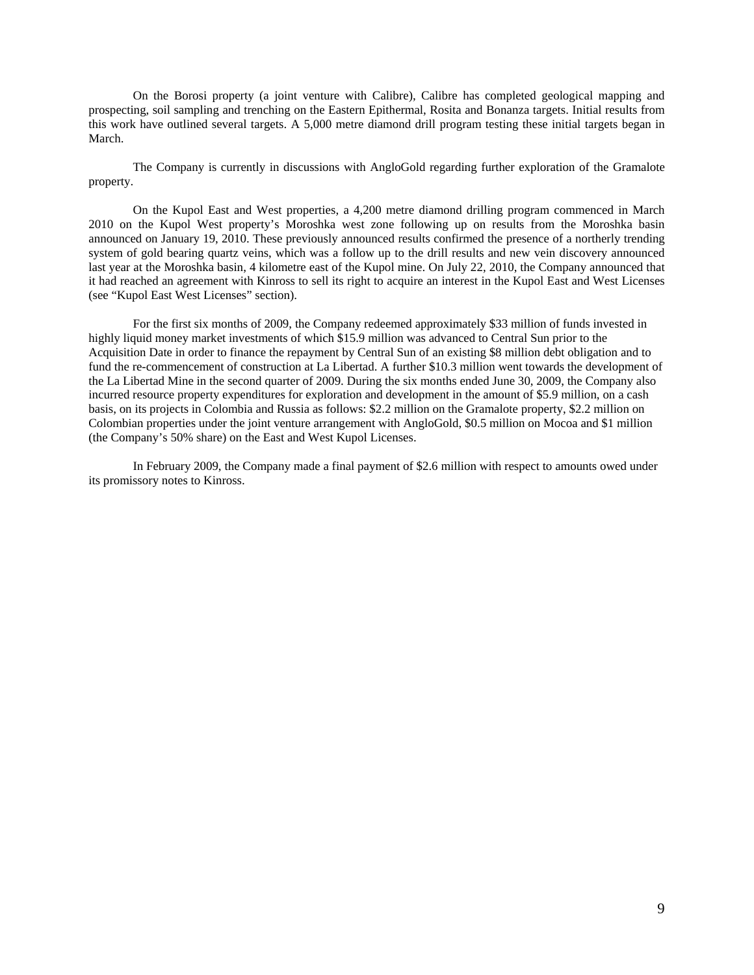On the Borosi property (a joint venture with Calibre), Calibre has completed geological mapping and prospecting, soil sampling and trenching on the Eastern Epithermal, Rosita and Bonanza targets. Initial results from this work have outlined several targets. A 5,000 metre diamond drill program testing these initial targets began in March.

The Company is currently in discussions with AngloGold regarding further exploration of the Gramalote property.

On the Kupol East and West properties, a 4,200 metre diamond drilling program commenced in March 2010 on the Kupol West property's Moroshka west zone following up on results from the Moroshka basin announced on January 19, 2010. These previously announced results confirmed the presence of a northerly trending system of gold bearing quartz veins, which was a follow up to the drill results and new vein discovery announced last year at the Moroshka basin, 4 kilometre east of the Kupol mine. On July 22, 2010, the Company announced that it had reached an agreement with Kinross to sell its right to acquire an interest in the Kupol East and West Licenses (see "Kupol East West Licenses" section).

For the first six months of 2009, the Company redeemed approximately \$33 million of funds invested in highly liquid money market investments of which \$15.9 million was advanced to Central Sun prior to the Acquisition Date in order to finance the repayment by Central Sun of an existing \$8 million debt obligation and to fund the re-commencement of construction at La Libertad. A further \$10.3 million went towards the development of the La Libertad Mine in the second quarter of 2009. During the six months ended June 30, 2009, the Company also incurred resource property expenditures for exploration and development in the amount of \$5.9 million, on a cash basis, on its projects in Colombia and Russia as follows: \$2.2 million on the Gramalote property, \$2.2 million on Colombian properties under the joint venture arrangement with AngloGold, \$0.5 million on Mocoa and \$1 million (the Company's 50% share) on the East and West Kupol Licenses.

In February 2009, the Company made a final payment of \$2.6 million with respect to amounts owed under its promissory notes to Kinross.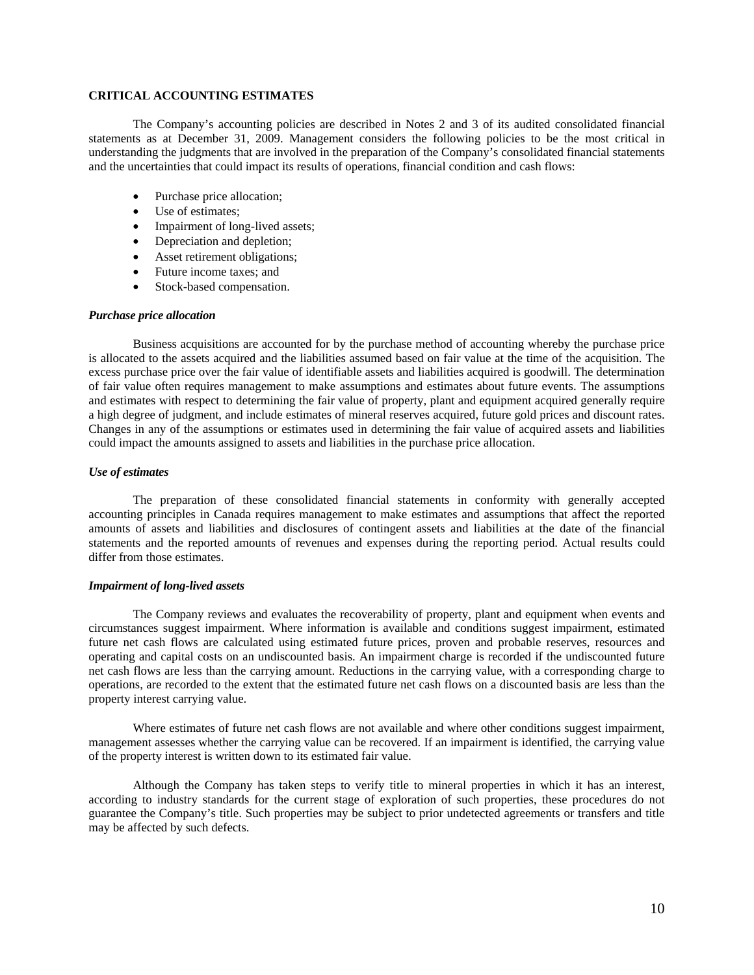# **CRITICAL ACCOUNTING ESTIMATES**

The Company's accounting policies are described in Notes 2 and 3 of its audited consolidated financial statements as at December 31, 2009. Management considers the following policies to be the most critical in understanding the judgments that are involved in the preparation of the Company's consolidated financial statements and the uncertainties that could impact its results of operations, financial condition and cash flows:

- Purchase price allocation;
- Use of estimates;
- Impairment of long-lived assets;
- Depreciation and depletion;
- Asset retirement obligations;
- Future income taxes; and
- Stock-based compensation.

### *Purchase price allocation*

Business acquisitions are accounted for by the purchase method of accounting whereby the purchase price is allocated to the assets acquired and the liabilities assumed based on fair value at the time of the acquisition. The excess purchase price over the fair value of identifiable assets and liabilities acquired is goodwill. The determination of fair value often requires management to make assumptions and estimates about future events. The assumptions and estimates with respect to determining the fair value of property, plant and equipment acquired generally require a high degree of judgment, and include estimates of mineral reserves acquired, future gold prices and discount rates. Changes in any of the assumptions or estimates used in determining the fair value of acquired assets and liabilities could impact the amounts assigned to assets and liabilities in the purchase price allocation.

### *Use of estimates*

The preparation of these consolidated financial statements in conformity with generally accepted accounting principles in Canada requires management to make estimates and assumptions that affect the reported amounts of assets and liabilities and disclosures of contingent assets and liabilities at the date of the financial statements and the reported amounts of revenues and expenses during the reporting period. Actual results could differ from those estimates.

## *Impairment of long-lived assets*

The Company reviews and evaluates the recoverability of property, plant and equipment when events and circumstances suggest impairment. Where information is available and conditions suggest impairment, estimated future net cash flows are calculated using estimated future prices, proven and probable reserves, resources and operating and capital costs on an undiscounted basis. An impairment charge is recorded if the undiscounted future net cash flows are less than the carrying amount. Reductions in the carrying value, with a corresponding charge to operations, are recorded to the extent that the estimated future net cash flows on a discounted basis are less than the property interest carrying value.

Where estimates of future net cash flows are not available and where other conditions suggest impairment, management assesses whether the carrying value can be recovered. If an impairment is identified, the carrying value of the property interest is written down to its estimated fair value.

Although the Company has taken steps to verify title to mineral properties in which it has an interest, according to industry standards for the current stage of exploration of such properties, these procedures do not guarantee the Company's title. Such properties may be subject to prior undetected agreements or transfers and title may be affected by such defects.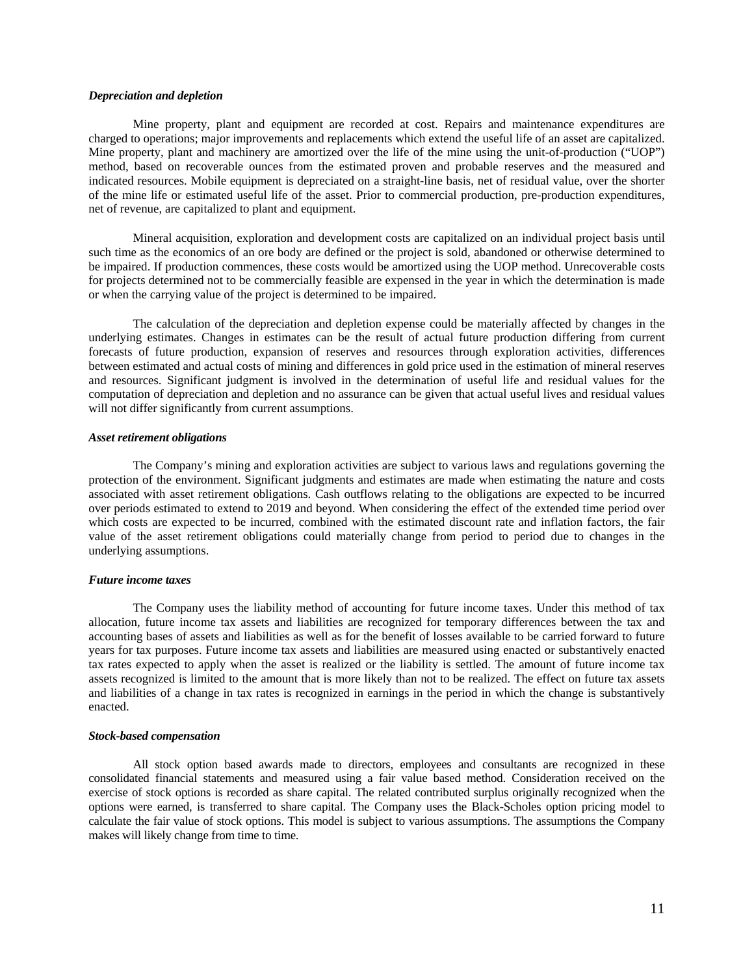### *Depreciation and depletion*

Mine property, plant and equipment are recorded at cost. Repairs and maintenance expenditures are charged to operations; major improvements and replacements which extend the useful life of an asset are capitalized. Mine property, plant and machinery are amortized over the life of the mine using the unit-of-production ("UOP") method, based on recoverable ounces from the estimated proven and probable reserves and the measured and indicated resources. Mobile equipment is depreciated on a straight-line basis, net of residual value, over the shorter of the mine life or estimated useful life of the asset. Prior to commercial production, pre-production expenditures, net of revenue, are capitalized to plant and equipment.

Mineral acquisition, exploration and development costs are capitalized on an individual project basis until such time as the economics of an ore body are defined or the project is sold, abandoned or otherwise determined to be impaired. If production commences, these costs would be amortized using the UOP method. Unrecoverable costs for projects determined not to be commercially feasible are expensed in the year in which the determination is made or when the carrying value of the project is determined to be impaired.

The calculation of the depreciation and depletion expense could be materially affected by changes in the underlying estimates. Changes in estimates can be the result of actual future production differing from current forecasts of future production, expansion of reserves and resources through exploration activities, differences between estimated and actual costs of mining and differences in gold price used in the estimation of mineral reserves and resources. Significant judgment is involved in the determination of useful life and residual values for the computation of depreciation and depletion and no assurance can be given that actual useful lives and residual values will not differ significantly from current assumptions.

#### *Asset retirement obligations*

The Company's mining and exploration activities are subject to various laws and regulations governing the protection of the environment. Significant judgments and estimates are made when estimating the nature and costs associated with asset retirement obligations. Cash outflows relating to the obligations are expected to be incurred over periods estimated to extend to 2019 and beyond. When considering the effect of the extended time period over which costs are expected to be incurred, combined with the estimated discount rate and inflation factors, the fair value of the asset retirement obligations could materially change from period to period due to changes in the underlying assumptions.

#### *Future income taxes*

The Company uses the liability method of accounting for future income taxes. Under this method of tax allocation, future income tax assets and liabilities are recognized for temporary differences between the tax and accounting bases of assets and liabilities as well as for the benefit of losses available to be carried forward to future years for tax purposes. Future income tax assets and liabilities are measured using enacted or substantively enacted tax rates expected to apply when the asset is realized or the liability is settled. The amount of future income tax assets recognized is limited to the amount that is more likely than not to be realized. The effect on future tax assets and liabilities of a change in tax rates is recognized in earnings in the period in which the change is substantively enacted.

#### *Stock-based compensation*

All stock option based awards made to directors, employees and consultants are recognized in these consolidated financial statements and measured using a fair value based method. Consideration received on the exercise of stock options is recorded as share capital. The related contributed surplus originally recognized when the options were earned, is transferred to share capital. The Company uses the Black-Scholes option pricing model to calculate the fair value of stock options. This model is subject to various assumptions. The assumptions the Company makes will likely change from time to time.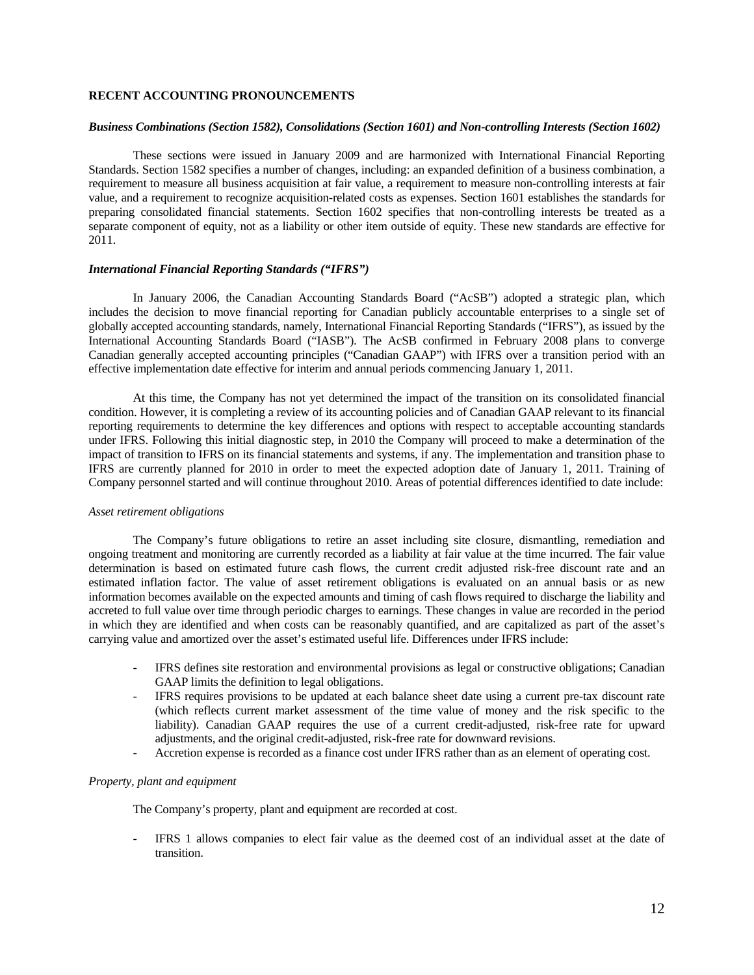# **RECENT ACCOUNTING PRONOUNCEMENTS**

### *Business Combinations (Section 1582), Consolidations (Section 1601) and Non-controlling Interests (Section 1602)*

These sections were issued in January 2009 and are harmonized with International Financial Reporting Standards. Section 1582 specifies a number of changes, including: an expanded definition of a business combination, a requirement to measure all business acquisition at fair value, a requirement to measure non-controlling interests at fair value, and a requirement to recognize acquisition-related costs as expenses. Section 1601 establishes the standards for preparing consolidated financial statements. Section 1602 specifies that non-controlling interests be treated as a separate component of equity, not as a liability or other item outside of equity. These new standards are effective for 2011.

#### *International Financial Reporting Standards ("IFRS")*

In January 2006, the Canadian Accounting Standards Board ("AcSB") adopted a strategic plan, which includes the decision to move financial reporting for Canadian publicly accountable enterprises to a single set of globally accepted accounting standards, namely, International Financial Reporting Standards ("IFRS"), as issued by the International Accounting Standards Board ("IASB"). The AcSB confirmed in February 2008 plans to converge Canadian generally accepted accounting principles ("Canadian GAAP") with IFRS over a transition period with an effective implementation date effective for interim and annual periods commencing January 1, 2011.

At this time, the Company has not yet determined the impact of the transition on its consolidated financial condition. However, it is completing a review of its accounting policies and of Canadian GAAP relevant to its financial reporting requirements to determine the key differences and options with respect to acceptable accounting standards under IFRS. Following this initial diagnostic step, in 2010 the Company will proceed to make a determination of the impact of transition to IFRS on its financial statements and systems, if any. The implementation and transition phase to IFRS are currently planned for 2010 in order to meet the expected adoption date of January 1, 2011. Training of Company personnel started and will continue throughout 2010. Areas of potential differences identified to date include:

#### *Asset retirement obligations*

The Company's future obligations to retire an asset including site closure, dismantling, remediation and ongoing treatment and monitoring are currently recorded as a liability at fair value at the time incurred. The fair value determination is based on estimated future cash flows, the current credit adjusted risk-free discount rate and an estimated inflation factor. The value of asset retirement obligations is evaluated on an annual basis or as new information becomes available on the expected amounts and timing of cash flows required to discharge the liability and accreted to full value over time through periodic charges to earnings. These changes in value are recorded in the period in which they are identified and when costs can be reasonably quantified, and are capitalized as part of the asset's carrying value and amortized over the asset's estimated useful life. Differences under IFRS include:

- IFRS defines site restoration and environmental provisions as legal or constructive obligations; Canadian GAAP limits the definition to legal obligations.
- IFRS requires provisions to be updated at each balance sheet date using a current pre-tax discount rate (which reflects current market assessment of the time value of money and the risk specific to the liability). Canadian GAAP requires the use of a current credit-adjusted, risk-free rate for upward adjustments, and the original credit-adjusted, risk-free rate for downward revisions.
- Accretion expense is recorded as a finance cost under IFRS rather than as an element of operating cost.

### *Property, plant and equipment*

The Company's property, plant and equipment are recorded at cost.

- IFRS 1 allows companies to elect fair value as the deemed cost of an individual asset at the date of transition.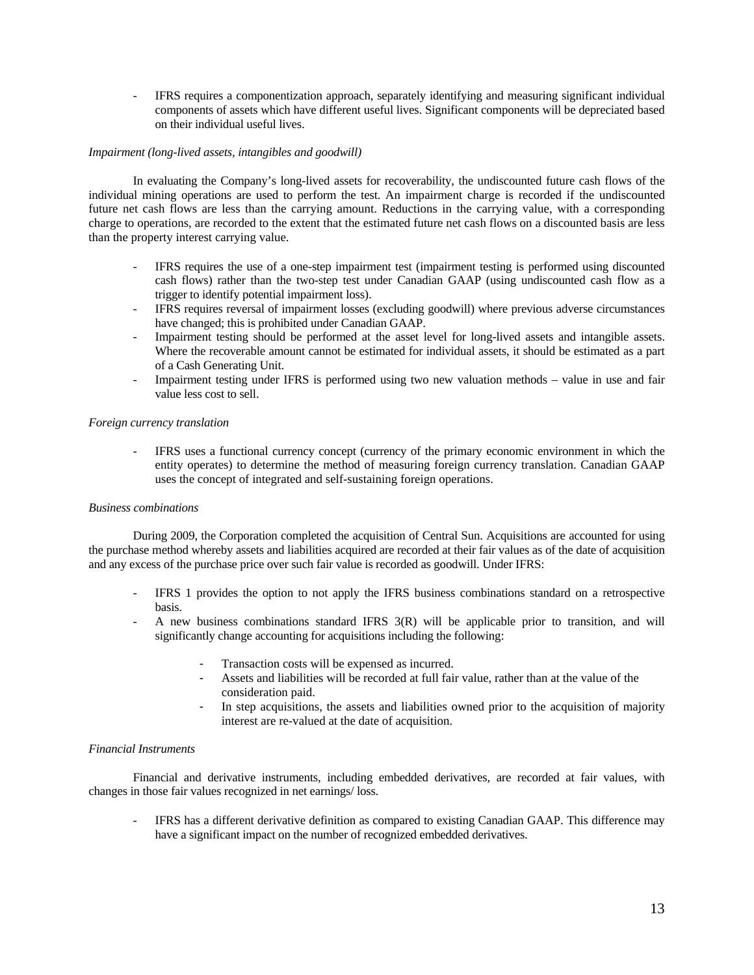- IFRS requires a componentization approach, separately identifying and measuring significant individual components of assets which have different useful lives. Significant components will be depreciated based on their individual useful lives.

# *Impairment (long-lived assets, intangibles and goodwill)*

In evaluating the Company's long-lived assets for recoverability, the undiscounted future cash flows of the individual mining operations are used to perform the test. An impairment charge is recorded if the undiscounted future net cash flows are less than the carrying amount. Reductions in the carrying value, with a corresponding charge to operations, are recorded to the extent that the estimated future net cash flows on a discounted basis are less than the property interest carrying value.

- IFRS requires the use of a one-step impairment test (impairment testing is performed using discounted cash flows) rather than the two-step test under Canadian GAAP (using undiscounted cash flow as a trigger to identify potential impairment loss).
- IFRS requires reversal of impairment losses (excluding goodwill) where previous adverse circumstances have changed; this is prohibited under Canadian GAAP.
- Impairment testing should be performed at the asset level for long-lived assets and intangible assets. Where the recoverable amount cannot be estimated for individual assets, it should be estimated as a part of a Cash Generating Unit.
- Impairment testing under IFRS is performed using two new valuation methods value in use and fair value less cost to sell.

## *Foreign currency translation*

- IFRS uses a functional currency concept (currency of the primary economic environment in which the entity operates) to determine the method of measuring foreign currency translation. Canadian GAAP uses the concept of integrated and self-sustaining foreign operations.

# *Business combinations*

During 2009, the Corporation completed the acquisition of Central Sun. Acquisitions are accounted for using the purchase method whereby assets and liabilities acquired are recorded at their fair values as of the date of acquisition and any excess of the purchase price over such fair value is recorded as goodwill. Under IFRS:

- IFRS 1 provides the option to not apply the IFRS business combinations standard on a retrospective basis.
- A new business combinations standard IFRS 3(R) will be applicable prior to transition, and will significantly change accounting for acquisitions including the following:
	- Transaction costs will be expensed as incurred.
	- Assets and liabilities will be recorded at full fair value, rather than at the value of the consideration paid.
	- In step acquisitions, the assets and liabilities owned prior to the acquisition of majority interest are re-valued at the date of acquisition.

## *Financial Instruments*

Financial and derivative instruments, including embedded derivatives, are recorded at fair values, with changes in those fair values recognized in net earnings/ loss.

- IFRS has a different derivative definition as compared to existing Canadian GAAP. This difference may have a significant impact on the number of recognized embedded derivatives.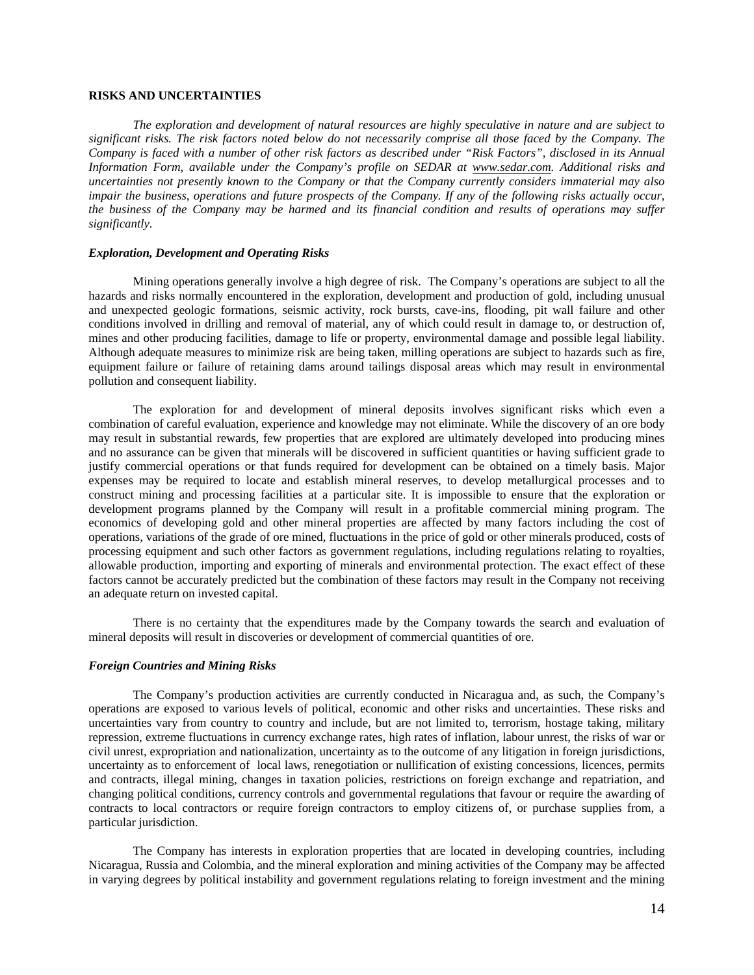# **RISKS AND UNCERTAINTIES**

*The exploration and development of natural resources are highly speculative in nature and are subject to significant risks. The risk factors noted below do not necessarily comprise all those faced by the Company. The Company is faced with a number of other risk factors as described under "Risk Factors", disclosed in its Annual Information Form, available under the Company's profile on SEDAR at www.sedar.com. Additional risks and uncertainties not presently known to the Company or that the Company currently considers immaterial may also impair the business, operations and future prospects of the Company. If any of the following risks actually occur, the business of the Company may be harmed and its financial condition and results of operations may suffer significantly.* 

# *Exploration, Development and Operating Risks*

Mining operations generally involve a high degree of risk. The Company's operations are subject to all the hazards and risks normally encountered in the exploration, development and production of gold, including unusual and unexpected geologic formations, seismic activity, rock bursts, cave-ins, flooding, pit wall failure and other conditions involved in drilling and removal of material, any of which could result in damage to, or destruction of, mines and other producing facilities, damage to life or property, environmental damage and possible legal liability. Although adequate measures to minimize risk are being taken, milling operations are subject to hazards such as fire, equipment failure or failure of retaining dams around tailings disposal areas which may result in environmental pollution and consequent liability.

The exploration for and development of mineral deposits involves significant risks which even a combination of careful evaluation, experience and knowledge may not eliminate. While the discovery of an ore body may result in substantial rewards, few properties that are explored are ultimately developed into producing mines and no assurance can be given that minerals will be discovered in sufficient quantities or having sufficient grade to justify commercial operations or that funds required for development can be obtained on a timely basis. Major expenses may be required to locate and establish mineral reserves, to develop metallurgical processes and to construct mining and processing facilities at a particular site. It is impossible to ensure that the exploration or development programs planned by the Company will result in a profitable commercial mining program. The economics of developing gold and other mineral properties are affected by many factors including the cost of operations, variations of the grade of ore mined, fluctuations in the price of gold or other minerals produced, costs of processing equipment and such other factors as government regulations, including regulations relating to royalties, allowable production, importing and exporting of minerals and environmental protection. The exact effect of these factors cannot be accurately predicted but the combination of these factors may result in the Company not receiving an adequate return on invested capital.

There is no certainty that the expenditures made by the Company towards the search and evaluation of mineral deposits will result in discoveries or development of commercial quantities of ore.

#### *Foreign Countries and Mining Risks*

The Company's production activities are currently conducted in Nicaragua and, as such, the Company's operations are exposed to various levels of political, economic and other risks and uncertainties. These risks and uncertainties vary from country to country and include, but are not limited to, terrorism, hostage taking, military repression, extreme fluctuations in currency exchange rates, high rates of inflation, labour unrest, the risks of war or civil unrest, expropriation and nationalization, uncertainty as to the outcome of any litigation in foreign jurisdictions, uncertainty as to enforcement of local laws, renegotiation or nullification of existing concessions, licences, permits and contracts, illegal mining, changes in taxation policies, restrictions on foreign exchange and repatriation, and changing political conditions, currency controls and governmental regulations that favour or require the awarding of contracts to local contractors or require foreign contractors to employ citizens of, or purchase supplies from, a particular jurisdiction.

The Company has interests in exploration properties that are located in developing countries, including Nicaragua, Russia and Colombia, and the mineral exploration and mining activities of the Company may be affected in varying degrees by political instability and government regulations relating to foreign investment and the mining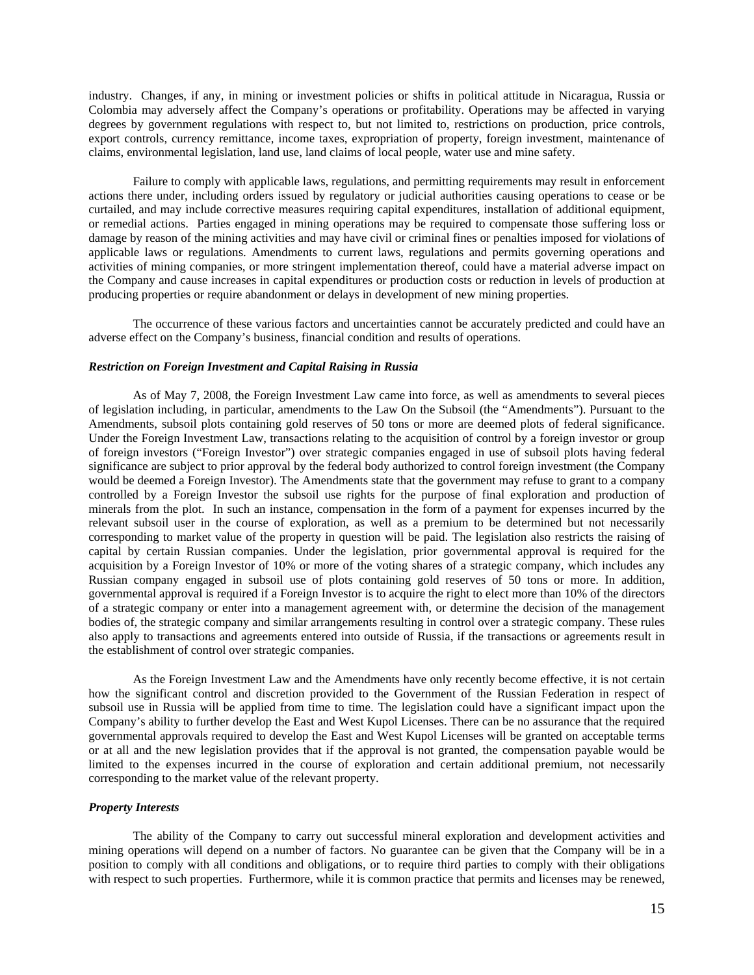industry. Changes, if any, in mining or investment policies or shifts in political attitude in Nicaragua, Russia or Colombia may adversely affect the Company's operations or profitability. Operations may be affected in varying degrees by government regulations with respect to, but not limited to, restrictions on production, price controls, export controls, currency remittance, income taxes, expropriation of property, foreign investment, maintenance of claims, environmental legislation, land use, land claims of local people, water use and mine safety.

Failure to comply with applicable laws, regulations, and permitting requirements may result in enforcement actions there under, including orders issued by regulatory or judicial authorities causing operations to cease or be curtailed, and may include corrective measures requiring capital expenditures, installation of additional equipment, or remedial actions. Parties engaged in mining operations may be required to compensate those suffering loss or damage by reason of the mining activities and may have civil or criminal fines or penalties imposed for violations of applicable laws or regulations. Amendments to current laws, regulations and permits governing operations and activities of mining companies, or more stringent implementation thereof, could have a material adverse impact on the Company and cause increases in capital expenditures or production costs or reduction in levels of production at producing properties or require abandonment or delays in development of new mining properties.

The occurrence of these various factors and uncertainties cannot be accurately predicted and could have an adverse effect on the Company's business, financial condition and results of operations.

## *Restriction on Foreign Investment and Capital Raising in Russia*

As of May 7, 2008, the Foreign Investment Law came into force, as well as amendments to several pieces of legislation including, in particular, amendments to the Law On the Subsoil (the "Amendments"). Pursuant to the Amendments, subsoil plots containing gold reserves of 50 tons or more are deemed plots of federal significance. Under the Foreign Investment Law, transactions relating to the acquisition of control by a foreign investor or group of foreign investors ("Foreign Investor") over strategic companies engaged in use of subsoil plots having federal significance are subject to prior approval by the federal body authorized to control foreign investment (the Company would be deemed a Foreign Investor). The Amendments state that the government may refuse to grant to a company controlled by a Foreign Investor the subsoil use rights for the purpose of final exploration and production of minerals from the plot. In such an instance, compensation in the form of a payment for expenses incurred by the relevant subsoil user in the course of exploration, as well as a premium to be determined but not necessarily corresponding to market value of the property in question will be paid. The legislation also restricts the raising of capital by certain Russian companies. Under the legislation, prior governmental approval is required for the acquisition by a Foreign Investor of 10% or more of the voting shares of a strategic company, which includes any Russian company engaged in subsoil use of plots containing gold reserves of 50 tons or more. In addition, governmental approval is required if a Foreign Investor is to acquire the right to elect more than 10% of the directors of a strategic company or enter into a management agreement with, or determine the decision of the management bodies of, the strategic company and similar arrangements resulting in control over a strategic company. These rules also apply to transactions and agreements entered into outside of Russia, if the transactions or agreements result in the establishment of control over strategic companies.

As the Foreign Investment Law and the Amendments have only recently become effective, it is not certain how the significant control and discretion provided to the Government of the Russian Federation in respect of subsoil use in Russia will be applied from time to time. The legislation could have a significant impact upon the Company's ability to further develop the East and West Kupol Licenses. There can be no assurance that the required governmental approvals required to develop the East and West Kupol Licenses will be granted on acceptable terms or at all and the new legislation provides that if the approval is not granted, the compensation payable would be limited to the expenses incurred in the course of exploration and certain additional premium, not necessarily corresponding to the market value of the relevant property.

# *Property Interests*

The ability of the Company to carry out successful mineral exploration and development activities and mining operations will depend on a number of factors. No guarantee can be given that the Company will be in a position to comply with all conditions and obligations, or to require third parties to comply with their obligations with respect to such properties. Furthermore, while it is common practice that permits and licenses may be renewed,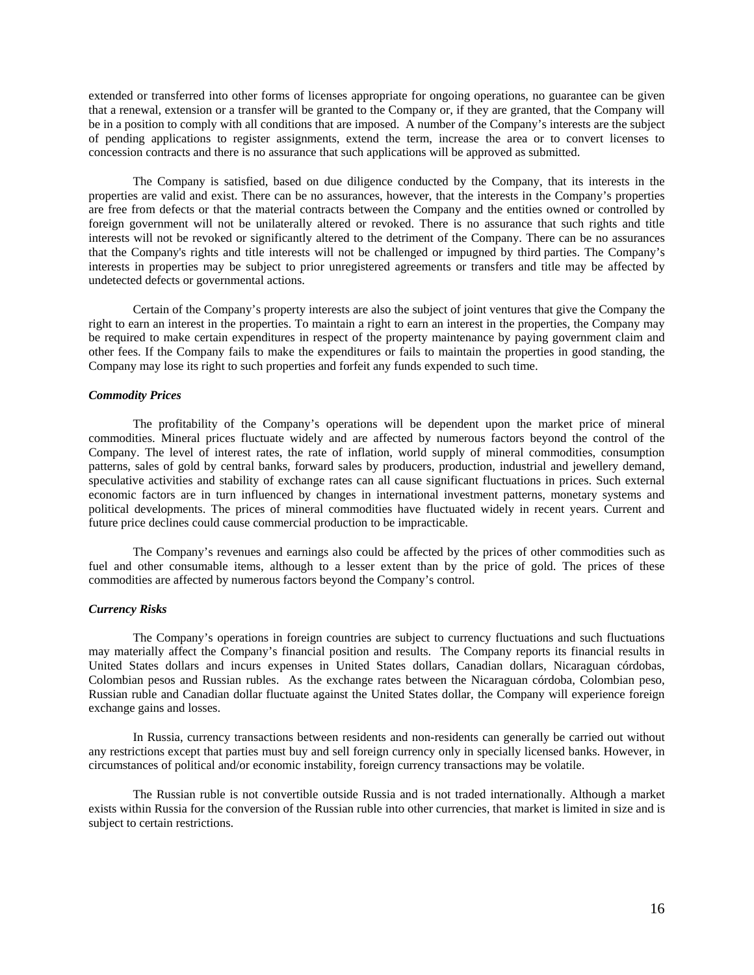extended or transferred into other forms of licenses appropriate for ongoing operations, no guarantee can be given that a renewal, extension or a transfer will be granted to the Company or, if they are granted, that the Company will be in a position to comply with all conditions that are imposed. A number of the Company's interests are the subject of pending applications to register assignments, extend the term, increase the area or to convert licenses to concession contracts and there is no assurance that such applications will be approved as submitted.

The Company is satisfied, based on due diligence conducted by the Company, that its interests in the properties are valid and exist. There can be no assurances, however, that the interests in the Company's properties are free from defects or that the material contracts between the Company and the entities owned or controlled by foreign government will not be unilaterally altered or revoked. There is no assurance that such rights and title interests will not be revoked or significantly altered to the detriment of the Company. There can be no assurances that the Company's rights and title interests will not be challenged or impugned by third parties. The Company's interests in properties may be subject to prior unregistered agreements or transfers and title may be affected by undetected defects or governmental actions.

Certain of the Company's property interests are also the subject of joint ventures that give the Company the right to earn an interest in the properties. To maintain a right to earn an interest in the properties, the Company may be required to make certain expenditures in respect of the property maintenance by paying government claim and other fees. If the Company fails to make the expenditures or fails to maintain the properties in good standing, the Company may lose its right to such properties and forfeit any funds expended to such time.

# *Commodity Prices*

The profitability of the Company's operations will be dependent upon the market price of mineral commodities. Mineral prices fluctuate widely and are affected by numerous factors beyond the control of the Company. The level of interest rates, the rate of inflation, world supply of mineral commodities, consumption patterns, sales of gold by central banks, forward sales by producers, production, industrial and jewellery demand, speculative activities and stability of exchange rates can all cause significant fluctuations in prices. Such external economic factors are in turn influenced by changes in international investment patterns, monetary systems and political developments. The prices of mineral commodities have fluctuated widely in recent years. Current and future price declines could cause commercial production to be impracticable.

The Company's revenues and earnings also could be affected by the prices of other commodities such as fuel and other consumable items, although to a lesser extent than by the price of gold. The prices of these commodities are affected by numerous factors beyond the Company's control.

# *Currency Risks*

The Company's operations in foreign countries are subject to currency fluctuations and such fluctuations may materially affect the Company's financial position and results. The Company reports its financial results in United States dollars and incurs expenses in United States dollars, Canadian dollars, Nicaraguan córdobas, Colombian pesos and Russian rubles. As the exchange rates between the Nicaraguan córdoba, Colombian peso, Russian ruble and Canadian dollar fluctuate against the United States dollar, the Company will experience foreign exchange gains and losses.

In Russia, currency transactions between residents and non-residents can generally be carried out without any restrictions except that parties must buy and sell foreign currency only in specially licensed banks. However, in circumstances of political and/or economic instability, foreign currency transactions may be volatile.

The Russian ruble is not convertible outside Russia and is not traded internationally. Although a market exists within Russia for the conversion of the Russian ruble into other currencies, that market is limited in size and is subject to certain restrictions.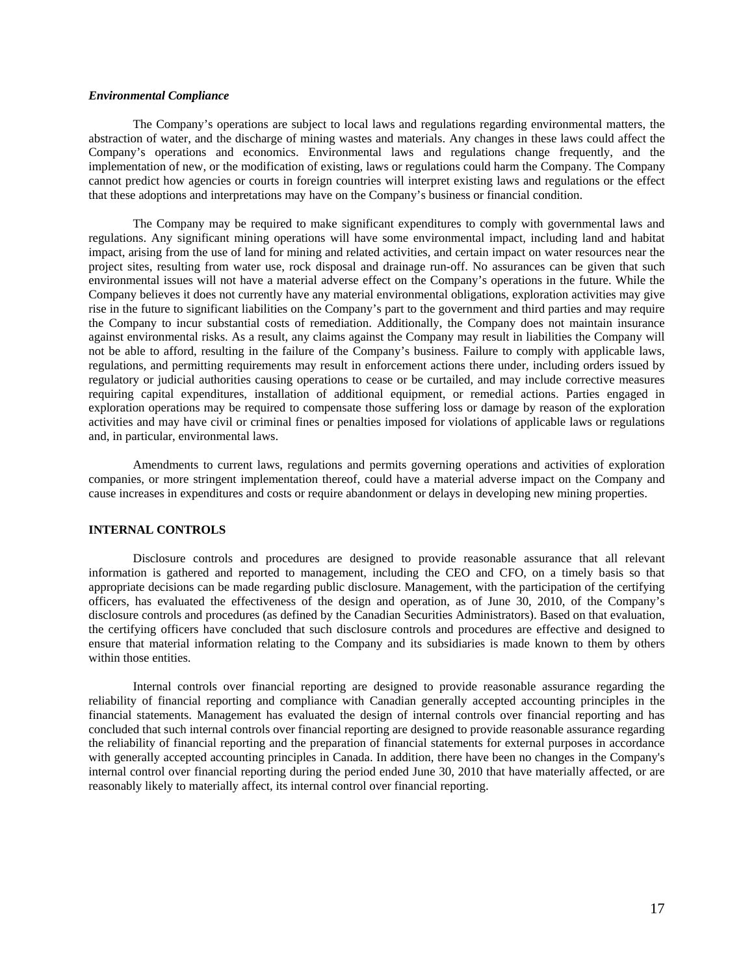# *Environmental Compliance*

The Company's operations are subject to local laws and regulations regarding environmental matters, the abstraction of water, and the discharge of mining wastes and materials. Any changes in these laws could affect the Company's operations and economics. Environmental laws and regulations change frequently, and the implementation of new, or the modification of existing, laws or regulations could harm the Company. The Company cannot predict how agencies or courts in foreign countries will interpret existing laws and regulations or the effect that these adoptions and interpretations may have on the Company's business or financial condition.

The Company may be required to make significant expenditures to comply with governmental laws and regulations. Any significant mining operations will have some environmental impact, including land and habitat impact, arising from the use of land for mining and related activities, and certain impact on water resources near the project sites, resulting from water use, rock disposal and drainage run-off. No assurances can be given that such environmental issues will not have a material adverse effect on the Company's operations in the future. While the Company believes it does not currently have any material environmental obligations, exploration activities may give rise in the future to significant liabilities on the Company's part to the government and third parties and may require the Company to incur substantial costs of remediation. Additionally, the Company does not maintain insurance against environmental risks. As a result, any claims against the Company may result in liabilities the Company will not be able to afford, resulting in the failure of the Company's business. Failure to comply with applicable laws, regulations, and permitting requirements may result in enforcement actions there under, including orders issued by regulatory or judicial authorities causing operations to cease or be curtailed, and may include corrective measures requiring capital expenditures, installation of additional equipment, or remedial actions. Parties engaged in exploration operations may be required to compensate those suffering loss or damage by reason of the exploration activities and may have civil or criminal fines or penalties imposed for violations of applicable laws or regulations and, in particular, environmental laws.

Amendments to current laws, regulations and permits governing operations and activities of exploration companies, or more stringent implementation thereof, could have a material adverse impact on the Company and cause increases in expenditures and costs or require abandonment or delays in developing new mining properties.

### **INTERNAL CONTROLS**

Disclosure controls and procedures are designed to provide reasonable assurance that all relevant information is gathered and reported to management, including the CEO and CFO, on a timely basis so that appropriate decisions can be made regarding public disclosure. Management, with the participation of the certifying officers, has evaluated the effectiveness of the design and operation, as of June 30, 2010, of the Company's disclosure controls and procedures (as defined by the Canadian Securities Administrators). Based on that evaluation, the certifying officers have concluded that such disclosure controls and procedures are effective and designed to ensure that material information relating to the Company and its subsidiaries is made known to them by others within those entities.

Internal controls over financial reporting are designed to provide reasonable assurance regarding the reliability of financial reporting and compliance with Canadian generally accepted accounting principles in the financial statements. Management has evaluated the design of internal controls over financial reporting and has concluded that such internal controls over financial reporting are designed to provide reasonable assurance regarding the reliability of financial reporting and the preparation of financial statements for external purposes in accordance with generally accepted accounting principles in Canada. In addition, there have been no changes in the Company's internal control over financial reporting during the period ended June 30, 2010 that have materially affected, or are reasonably likely to materially affect, its internal control over financial reporting.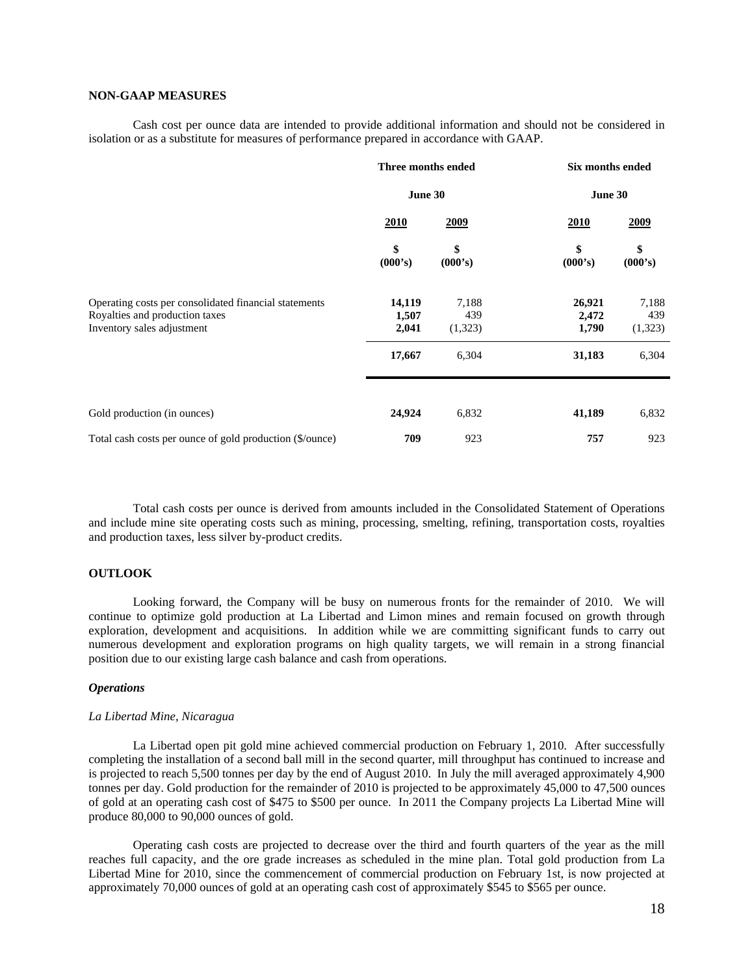# **NON-GAAP MEASURES**

Cash cost per ounce data are intended to provide additional information and should not be considered in isolation or as a substitute for measures of performance prepared in accordance with GAAP.

|                                                                                                                       | Three months ended<br>June 30 |                         | Six months ended<br>June 30 |                         |  |
|-----------------------------------------------------------------------------------------------------------------------|-------------------------------|-------------------------|-----------------------------|-------------------------|--|
|                                                                                                                       |                               |                         |                             |                         |  |
|                                                                                                                       | 2010                          | 2009                    | 2010                        | 2009                    |  |
|                                                                                                                       | \$<br>(000's)                 | \$<br>(000's)           | \$<br>(000's)               | \$<br>(000's)           |  |
| Operating costs per consolidated financial statements<br>Royalties and production taxes<br>Inventory sales adjustment | 14,119<br>1,507<br>2,041      | 7,188<br>439<br>(1,323) | 26,921<br>2,472<br>1,790    | 7,188<br>439<br>(1,323) |  |
|                                                                                                                       | 17,667                        | 6,304                   | 31,183                      | 6,304                   |  |
| Gold production (in ounces)                                                                                           | 24,924                        | 6,832                   | 41,189                      | 6,832                   |  |
|                                                                                                                       |                               |                         |                             |                         |  |
| Total cash costs per ounce of gold production (\$/ounce)                                                              | 709                           | 923                     | 757                         | 923                     |  |

Total cash costs per ounce is derived from amounts included in the Consolidated Statement of Operations and include mine site operating costs such as mining, processing, smelting, refining, transportation costs, royalties and production taxes, less silver by-product credits.

## **OUTLOOK**

Looking forward, the Company will be busy on numerous fronts for the remainder of 2010. We will continue to optimize gold production at La Libertad and Limon mines and remain focused on growth through exploration, development and acquisitions. In addition while we are committing significant funds to carry out numerous development and exploration programs on high quality targets, we will remain in a strong financial position due to our existing large cash balance and cash from operations.

### *Operations*

## *La Libertad Mine, Nicaragua*

La Libertad open pit gold mine achieved commercial production on February 1, 2010. After successfully completing the installation of a second ball mill in the second quarter, mill throughput has continued to increase and is projected to reach 5,500 tonnes per day by the end of August 2010. In July the mill averaged approximately 4,900 tonnes per day. Gold production for the remainder of 2010 is projected to be approximately 45,000 to 47,500 ounces of gold at an operating cash cost of \$475 to \$500 per ounce. In 2011 the Company projects La Libertad Mine will produce 80,000 to 90,000 ounces of gold.

Operating cash costs are projected to decrease over the third and fourth quarters of the year as the mill reaches full capacity, and the ore grade increases as scheduled in the mine plan. Total gold production from La Libertad Mine for 2010, since the commencement of commercial production on February 1st, is now projected at approximately 70,000 ounces of gold at an operating cash cost of approximately \$545 to \$565 per ounce.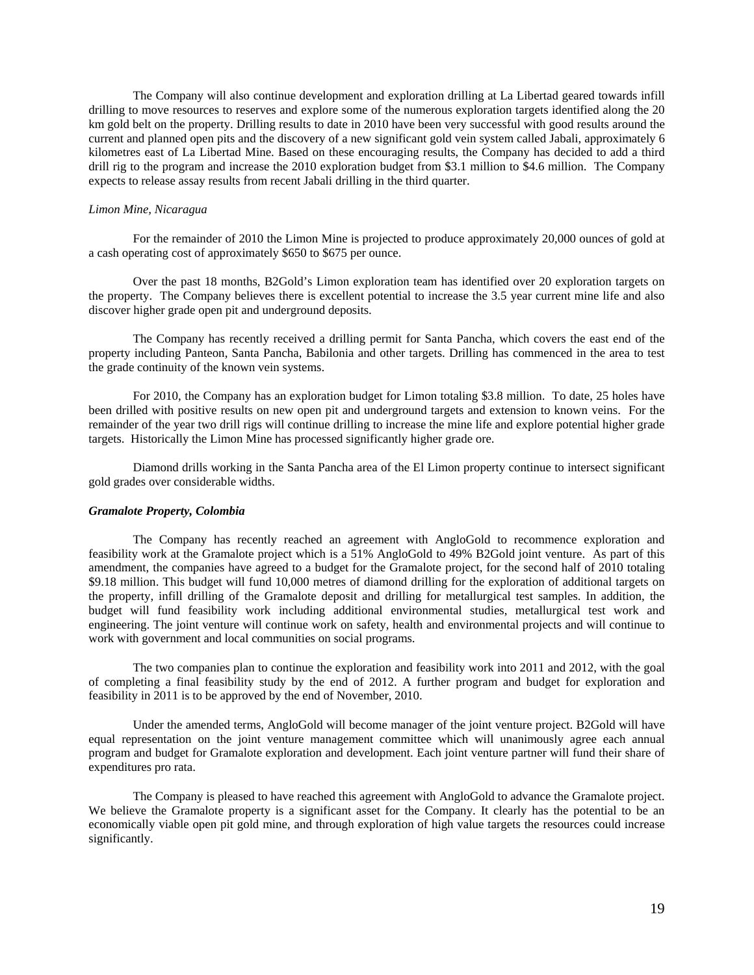The Company will also continue development and exploration drilling at La Libertad geared towards infill drilling to move resources to reserves and explore some of the numerous exploration targets identified along the 20 km gold belt on the property. Drilling results to date in 2010 have been very successful with good results around the current and planned open pits and the discovery of a new significant gold vein system called Jabali, approximately 6 kilometres east of La Libertad Mine. Based on these encouraging results, the Company has decided to add a third drill rig to the program and increase the 2010 exploration budget from \$3.1 million to \$4.6 million. The Company expects to release assay results from recent Jabali drilling in the third quarter.

### *Limon Mine, Nicaragua*

For the remainder of 2010 the Limon Mine is projected to produce approximately 20,000 ounces of gold at a cash operating cost of approximately \$650 to \$675 per ounce.

Over the past 18 months, B2Gold's Limon exploration team has identified over 20 exploration targets on the property. The Company believes there is excellent potential to increase the 3.5 year current mine life and also discover higher grade open pit and underground deposits.

The Company has recently received a drilling permit for Santa Pancha, which covers the east end of the property including Panteon, Santa Pancha, Babilonia and other targets. Drilling has commenced in the area to test the grade continuity of the known vein systems.

For 2010, the Company has an exploration budget for Limon totaling \$3.8 million. To date, 25 holes have been drilled with positive results on new open pit and underground targets and extension to known veins. For the remainder of the year two drill rigs will continue drilling to increase the mine life and explore potential higher grade targets. Historically the Limon Mine has processed significantly higher grade ore.

Diamond drills working in the Santa Pancha area of the El Limon property continue to intersect significant gold grades over considerable widths.

#### *Gramalote Property, Colombia*

The Company has recently reached an agreement with AngloGold to recommence exploration and feasibility work at the Gramalote project which is a 51% AngloGold to 49% B2Gold joint venture. As part of this amendment, the companies have agreed to a budget for the Gramalote project, for the second half of 2010 totaling \$9.18 million. This budget will fund 10,000 metres of diamond drilling for the exploration of additional targets on the property, infill drilling of the Gramalote deposit and drilling for metallurgical test samples. In addition, the budget will fund feasibility work including additional environmental studies, metallurgical test work and engineering. The joint venture will continue work on safety, health and environmental projects and will continue to work with government and local communities on social programs.

The two companies plan to continue the exploration and feasibility work into 2011 and 2012, with the goal of completing a final feasibility study by the end of 2012. A further program and budget for exploration and feasibility in 2011 is to be approved by the end of November, 2010.

Under the amended terms, AngloGold will become manager of the joint venture project. B2Gold will have equal representation on the joint venture management committee which will unanimously agree each annual program and budget for Gramalote exploration and development. Each joint venture partner will fund their share of expenditures pro rata.

The Company is pleased to have reached this agreement with AngloGold to advance the Gramalote project. We believe the Gramalote property is a significant asset for the Company. It clearly has the potential to be an economically viable open pit gold mine, and through exploration of high value targets the resources could increase significantly.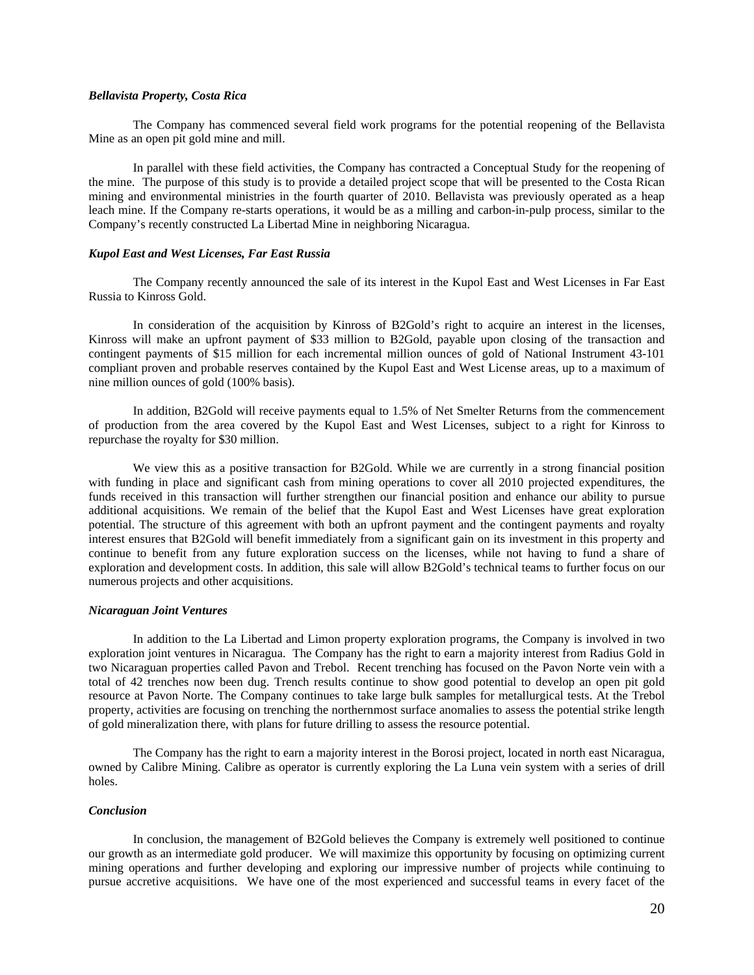## *Bellavista Property, Costa Rica*

The Company has commenced several field work programs for the potential reopening of the Bellavista Mine as an open pit gold mine and mill.

In parallel with these field activities, the Company has contracted a Conceptual Study for the reopening of the mine. The purpose of this study is to provide a detailed project scope that will be presented to the Costa Rican mining and environmental ministries in the fourth quarter of 2010. Bellavista was previously operated as a heap leach mine. If the Company re-starts operations, it would be as a milling and carbon-in-pulp process, similar to the Company's recently constructed La Libertad Mine in neighboring Nicaragua.

### *Kupol East and West Licenses, Far East Russia*

The Company recently announced the sale of its interest in the Kupol East and West Licenses in Far East Russia to Kinross Gold.

In consideration of the acquisition by Kinross of B2Gold's right to acquire an interest in the licenses, Kinross will make an upfront payment of \$33 million to B2Gold, payable upon closing of the transaction and contingent payments of \$15 million for each incremental million ounces of gold of National Instrument 43-101 compliant proven and probable reserves contained by the Kupol East and West License areas, up to a maximum of nine million ounces of gold (100% basis).

In addition, B2Gold will receive payments equal to 1.5% of Net Smelter Returns from the commencement of production from the area covered by the Kupol East and West Licenses, subject to a right for Kinross to repurchase the royalty for \$30 million.

We view this as a positive transaction for B2Gold. While we are currently in a strong financial position with funding in place and significant cash from mining operations to cover all 2010 projected expenditures, the funds received in this transaction will further strengthen our financial position and enhance our ability to pursue additional acquisitions. We remain of the belief that the Kupol East and West Licenses have great exploration potential. The structure of this agreement with both an upfront payment and the contingent payments and royalty interest ensures that B2Gold will benefit immediately from a significant gain on its investment in this property and continue to benefit from any future exploration success on the licenses, while not having to fund a share of exploration and development costs. In addition, this sale will allow B2Gold's technical teams to further focus on our numerous projects and other acquisitions.

### *Nicaraguan Joint Ventures*

In addition to the La Libertad and Limon property exploration programs, the Company is involved in two exploration joint ventures in Nicaragua. The Company has the right to earn a majority interest from Radius Gold in two Nicaraguan properties called Pavon and Trebol. Recent trenching has focused on the Pavon Norte vein with a total of 42 trenches now been dug. Trench results continue to show good potential to develop an open pit gold resource at Pavon Norte. The Company continues to take large bulk samples for metallurgical tests. At the Trebol property, activities are focusing on trenching the northernmost surface anomalies to assess the potential strike length of gold mineralization there, with plans for future drilling to assess the resource potential.

The Company has the right to earn a majority interest in the Borosi project, located in north east Nicaragua, owned by Calibre Mining. Calibre as operator is currently exploring the La Luna vein system with a series of drill holes.

### *Conclusion*

In conclusion, the management of B2Gold believes the Company is extremely well positioned to continue our growth as an intermediate gold producer. We will maximize this opportunity by focusing on optimizing current mining operations and further developing and exploring our impressive number of projects while continuing to pursue accretive acquisitions. We have one of the most experienced and successful teams in every facet of the